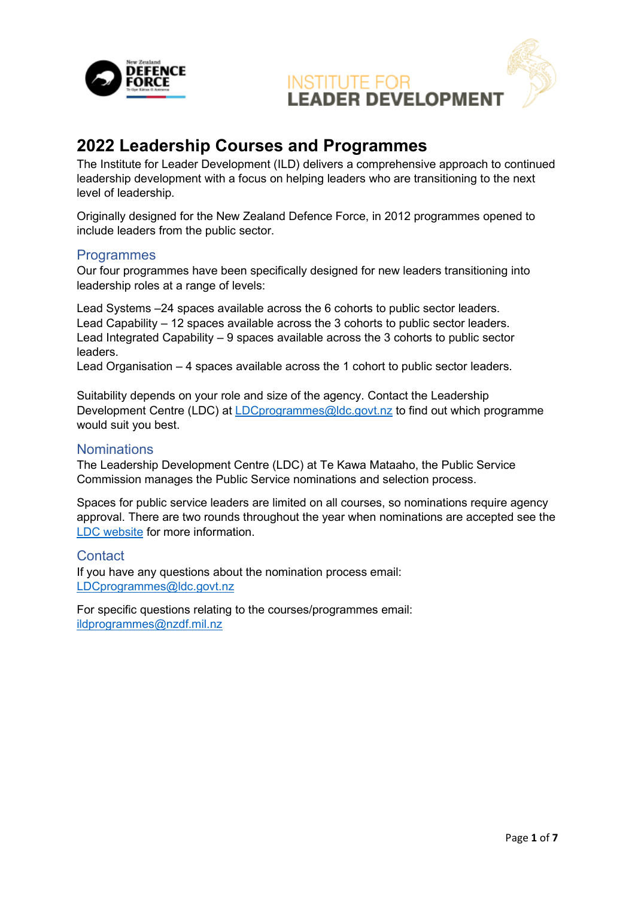

### **2022 Leadership Courses and Programmes**

The Institute for Leader Development (ILD) delivers a comprehensive approach to continued leadership development with a focus on helping leaders who are transitioning to the next level of leadership.

Originally designed for the New Zealand Defence Force, in 2012 programmes opened to include leaders from the public sector.

#### **Programmes**

Our four programmes have been specifically designed for new leaders transitioning into leadership roles at a range of levels:

Lead Systems –24 spaces available across the 6 cohorts to public sector leaders. Lead Capability – 12 spaces available across the 3 cohorts to public sector leaders. Lead Integrated Capability – 9 spaces available across the 3 cohorts to public sector leaders.

Lead Organisation – 4 spaces available across the 1 cohort to public sector leaders.

Suitability depends on your role and size of the agency. Contact the Leadership Development Centre (LDC) at [LDCprogrammes@ldc.govt.nz](mailto:LDCprogrammes@ldc.govt.nz) to find out which programme would suit you best.

#### **Nominations**

The Leadership Development Centre (LDC) at Te Kawa Mataaho, the Public Service Commission manages the Public Service nominations and selection process.

Spaces for public service leaders are limited on all courses, so nominations require agency approval. There are two rounds throughout the year when nominations are accepted see the [LDC website](https://www.ldc.govt.nz/programmes-and-events/agency-programmes/) for more information.

**Contact** 

If you have any questions about the nomination process email: [LDCprogrammes@ldc.govt.nz](mailto:LDCprogrammes@ldc.govt.nz)

For specific questions relating to the courses/programmes email: [ildprogrammes@nzdf.mil.nz](mailto:ildprogrammes@nzdf.mil.nz)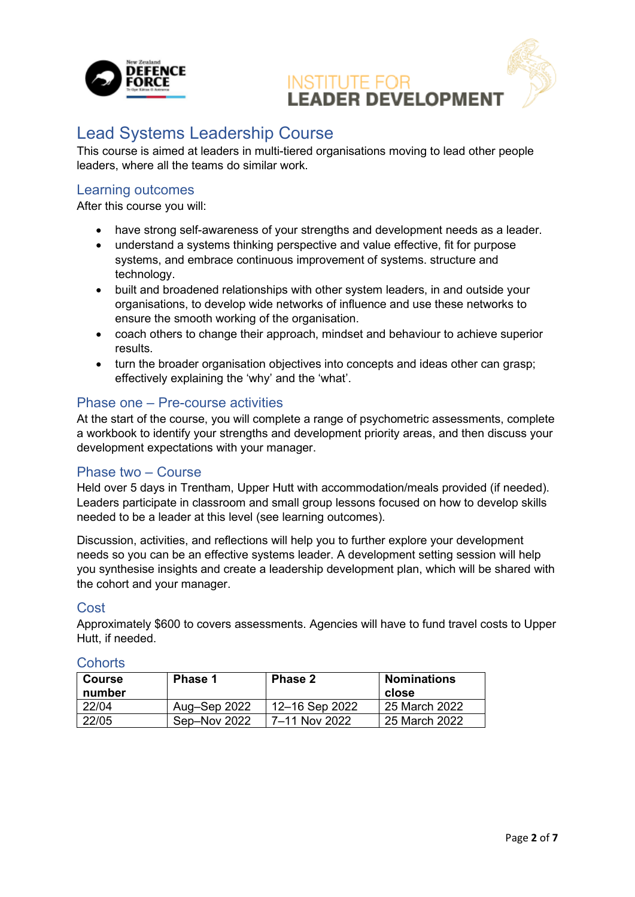

### Lead Systems Leadership Course

This course is aimed at leaders in multi-tiered organisations moving to lead other people leaders, where all the teams do similar work.

#### Learning outcomes

After this course you will:

- have strong self-awareness of your strengths and development needs as a leader.
- understand a systems thinking perspective and value effective, fit for purpose systems, and embrace continuous improvement of systems. structure and technology.
- built and broadened relationships with other system leaders, in and outside your organisations, to develop wide networks of influence and use these networks to ensure the smooth working of the organisation.
- coach others to change their approach, mindset and behaviour to achieve superior results.
- turn the broader organisation objectives into concepts and ideas other can grasp; effectively explaining the 'why' and the 'what'.

#### Phase one – Pre-course activities

At the start of the course, you will complete a range of psychometric assessments, complete a workbook to identify your strengths and development priority areas, and then discuss your development expectations with your manager.

#### Phase two – Course

Held over 5 days in Trentham, Upper Hutt with accommodation/meals provided (if needed). Leaders participate in classroom and small group lessons focused on how to develop skills needed to be a leader at this level (see learning outcomes).

Discussion, activities, and reflections will help you to further explore your development needs so you can be an effective systems leader. A development setting session will help you synthesise insights and create a leadership development plan, which will be shared with the cohort and your manager.

#### **Cost**

Approximately \$600 to covers assessments. Agencies will have to fund travel costs to Upper Hutt, if needed.

| <b>Course</b><br>number | <b>Phase 1</b> | <b>Phase 2</b> | <b>Nominations</b><br>close |
|-------------------------|----------------|----------------|-----------------------------|
| 22/04                   | Aug-Sep 2022   | 12-16 Sep 2022 | 25 March 2022               |
| 22/05                   | Sep-Nov 2022   | 7–11 Nov 2022  | 25 March 2022               |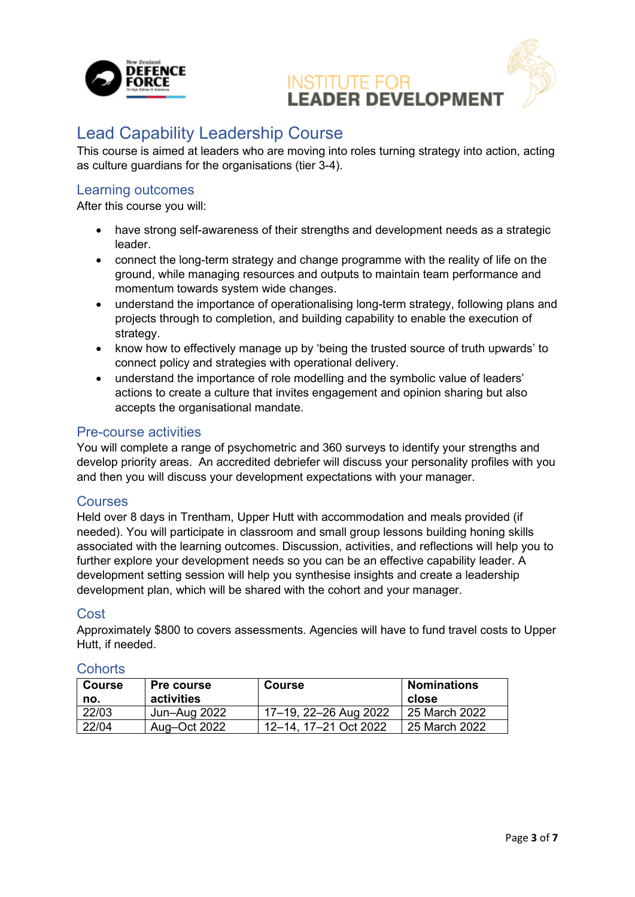

### Lead Capability Leadership Course

This course is aimed at leaders who are moving into roles turning strategy into action, acting as culture guardians for the organisations (tier 3-4).

#### Learning outcomes

After this course you will:

- have strong self-awareness of their strengths and development needs as a strategic leader.
- connect the long-term strategy and change programme with the reality of life on the ground, while managing resources and outputs to maintain team performance and momentum towards system wide changes.
- understand the importance of operationalising long-term strategy, following plans and projects through to completion, and building capability to enable the execution of strategy.
- know how to effectively manage up by 'being the trusted source of truth upwards' to connect policy and strategies with operational delivery.
- understand the importance of role modelling and the symbolic value of leaders' actions to create a culture that invites engagement and opinion sharing but also accepts the organisational mandate.

#### Pre-course activities

You will complete a range of psychometric and 360 surveys to identify your strengths and develop priority areas. An accredited debriefer will discuss your personality profiles with you and then you will discuss your development expectations with your manager.

#### **Courses**

Held over 8 days in Trentham, Upper Hutt with accommodation and meals provided (if needed). You will participate in classroom and small group lessons building honing skills associated with the learning outcomes. Discussion, activities, and reflections will help you to further explore your development needs so you can be an effective capability leader. A development setting session will help you synthesise insights and create a leadership development plan, which will be shared with the cohort and your manager.

#### Cost

Approximately \$800 to covers assessments. Agencies will have to fund travel costs to Upper Hutt, if needed.

| <b>Course</b><br>no. | <b>Pre course</b><br>activities | <b>Course</b>         | <b>Nominations</b><br>close |
|----------------------|---------------------------------|-----------------------|-----------------------------|
| 22/03                | Jun-Aug 2022                    | 17-19, 22-26 Aug 2022 | 25 March 2022               |
| 22/04                | Aug–Oct 2022                    | 12-14, 17-21 Oct 2022 | 25 March 2022               |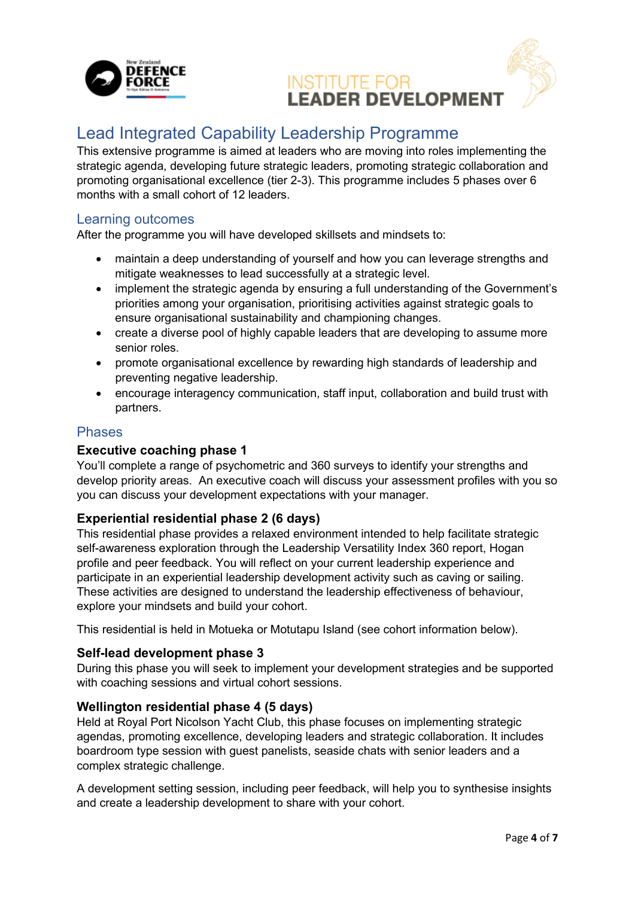

### Lead Integrated Capability Leadership Programme

This extensive programme is aimed at leaders who are moving into roles implementing the strategic agenda, developing future strategic leaders, promoting strategic collaboration and promoting organisational excellence (tier 2-3). This programme includes 5 phases over 6 months with a small cohort of 12 leaders.

#### Learning outcomes

After the programme you will have developed skillsets and mindsets to:

- maintain a deep understanding of yourself and how you can leverage strengths and mitigate weaknesses to lead successfully at a strategic level.
- implement the strategic agenda by ensuring a full understanding of the Government's priorities among your organisation, prioritising activities against strategic goals to ensure organisational sustainability and championing changes.
- create a diverse pool of highly capable leaders that are developing to assume more senior roles.
- promote organisational excellence by rewarding high standards of leadership and preventing negative leadership.
- encourage interagency communication, staff input, collaboration and build trust with partners.

#### Phases

#### **Executive coaching phase 1**

You'll complete a range of psychometric and 360 surveys to identify your strengths and develop priority areas. An executive coach will discuss your assessment profiles with you so you can discuss your development expectations with your manager.

#### **Experiential residential phase 2 (6 days)**

This residential phase provides a relaxed environment intended to help facilitate strategic self-awareness exploration through the Leadership Versatility Index 360 report, Hogan profile and peer feedback. You will reflect on your current leadership experience and participate in an experiential leadership development activity such as caving or sailing. These activities are designed to understand the leadership effectiveness of behaviour, explore your mindsets and build your cohort.

This residential is held in Motueka or Motutapu Island (see cohort information below).

#### **Self-lead development phase 3**

During this phase you will seek to implement your development strategies and be supported with coaching sessions and virtual cohort sessions.

#### **Wellington residential phase 4 (5 days)**

Held at Royal Port Nicolson Yacht Club, this phase focuses on implementing strategic agendas, promoting excellence, developing leaders and strategic collaboration. It includes boardroom type session with guest panelists, seaside chats with senior leaders and a complex strategic challenge.

A development setting session, including peer feedback, will help you to synthesise insights and create a leadership development to share with your cohort.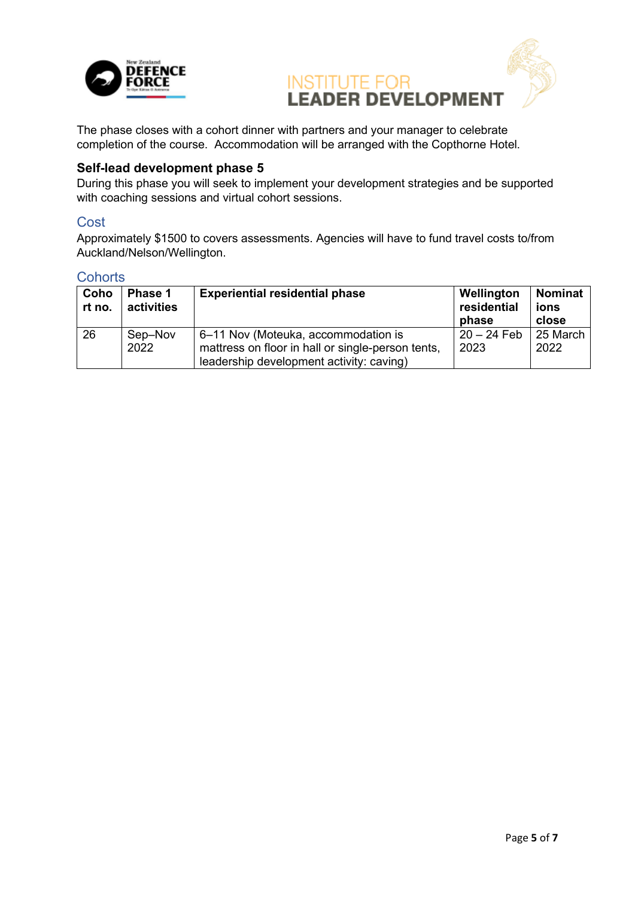



The phase closes with a cohort dinner with partners and your manager to celebrate completion of the course. Accommodation will be arranged with the Copthorne Hotel.

#### **Self-lead development phase 5**

During this phase you will seek to implement your development strategies and be supported with coaching sessions and virtual cohort sessions.

#### **Cost**

Approximately \$1500 to covers assessments. Agencies will have to fund travel costs to/from Auckland/Nelson/Wellington.

| Coho<br>rt no. | Phase 1<br>activities | <b>Experiential residential phase</b>                                                    | Wellington<br>residential<br>phase | <b>Nominat</b><br>ions<br>close |
|----------------|-----------------------|------------------------------------------------------------------------------------------|------------------------------------|---------------------------------|
| 26             | Sep-Nov<br>2022       | 6-11 Nov (Moteuka, accommodation is<br>mattress on floor in hall or single-person tents, | $20 - 24$ Feb<br>2023              | 25 March<br>2022                |
|                |                       | leadership development activity: caving)                                                 |                                    |                                 |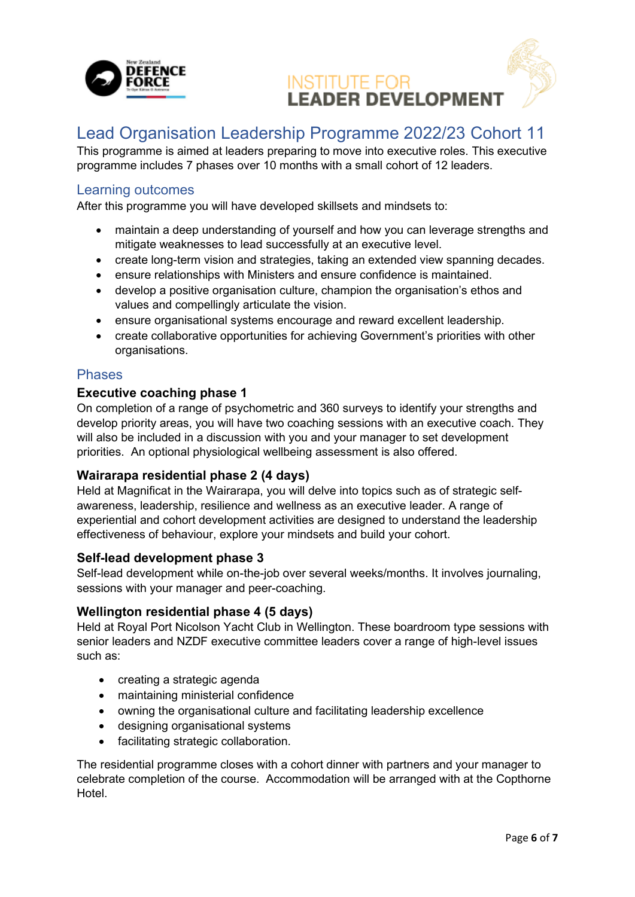

### Lead Organisation Leadership Programme 2022/23 Cohort 11

This programme is aimed at leaders preparing to move into executive roles. This executive programme includes 7 phases over 10 months with a small cohort of 12 leaders.

#### Learning outcomes

After this programme you will have developed skillsets and mindsets to:

- maintain a deep understanding of yourself and how you can leverage strengths and mitigate weaknesses to lead successfully at an executive level.
- create long-term vision and strategies, taking an extended view spanning decades.
- ensure relationships with Ministers and ensure confidence is maintained.
- develop a positive organisation culture, champion the organisation's ethos and values and compellingly articulate the vision.
- ensure organisational systems encourage and reward excellent leadership.
- create collaborative opportunities for achieving Government's priorities with other organisations.

#### Phases

#### **Executive coaching phase 1**

On completion of a range of psychometric and 360 surveys to identify your strengths and develop priority areas, you will have two coaching sessions with an executive coach. They will also be included in a discussion with you and your manager to set development priorities. An optional physiological wellbeing assessment is also offered.

#### **Wairarapa residential phase 2 (4 days)**

Held at Magnificat in the Wairarapa, you will delve into topics such as of strategic selfawareness, leadership, resilience and wellness as an executive leader. A range of experiential and cohort development activities are designed to understand the leadership effectiveness of behaviour, explore your mindsets and build your cohort.

#### **Self-lead development phase 3**

Self-lead development while on-the-job over several weeks/months. It involves journaling, sessions with your manager and peer-coaching.

#### **Wellington residential phase 4 (5 days)**

Held at Royal Port Nicolson Yacht Club in Wellington. These boardroom type sessions with senior leaders and NZDF executive committee leaders cover a range of high-level issues such as:

- creating a strategic agenda
- maintaining ministerial confidence
- owning the organisational culture and facilitating leadership excellence
- designing organisational systems
- facilitating strategic collaboration.

The residential programme closes with a cohort dinner with partners and your manager to celebrate completion of the course. Accommodation will be arranged with at the Copthorne Hotel.